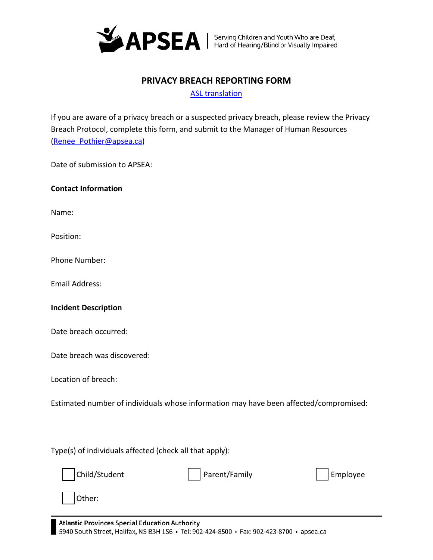

## **PRIVACY BREACH REPORTING FORM**

[ASL translation](https://vimeo.com/694029168/74fbb75278)

If you are aware of a privacy breach or a suspected privacy breach, please review the Privacy Breach Protocol, complete this form, and submit to the Manager of Human Resources [\(Renee\\_Pothier@apsea.ca\)](mailto:Renee_Pothier@apsea.ca)

Date of submission to APSEA:

## **Contact Information**

Name:

Position:

Phone Number:

Email Address:

## **Incident Description**

Date breach occurred:

Date breach was discovered:

Location of breach:

Estimated number of individuals whose information may have been affected/compromised:

Type(s) of individuals affected (check all that apply):



Other:

**Atlantic Provinces Special Education Authority** 

5940 South Street, Halifax, NS B3H 1S6 · Tel: 902-424-8500 · Fax: 902-423-8700 · apsea.ca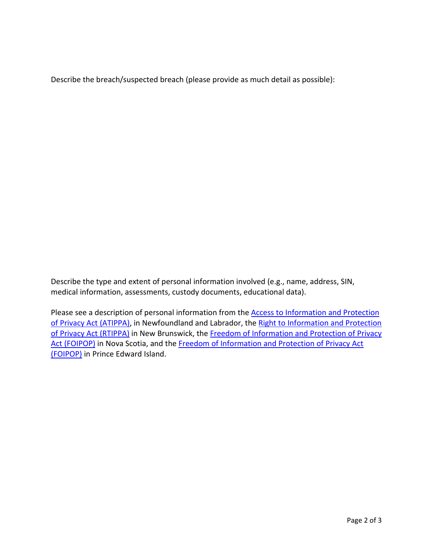Describe the breach/suspected breach (please provide as much detail as possible):

Describe the type and extent of personal information involved (e.g., name, address, SIN, medical information, assessments, custody documents, educational data).

Please see a description of personal information from the **Access to Information and Protection** [of Privacy Act \(ATIPPA\),](https://www.assembly.nl.ca/legislation/sr/statutes/a01-2.htm) in Newfoundland and Labrador, the Right to Information and Protection [of Privacy Act \(RTIPPA\)](https://www.gnb.ca/legis/bill/FILE/56/3/Bill-89-e.htm) in New Brunswick, the Freedom of Information and Protection of Privacy [Act \(FOIPOP\)](https://nslegislature.ca/sites/default/files/legc/statutes/freedom%20of%20information%20and%20protection%20of%20privacy.pdf) in Nova Scotia, and the Freedom of Information and Protection of Privacy Act [\(FOIPOP\)](https://www.princeedwardisland.ca/sites/default/files/legislation/f-15-01-freedom_of_information_and_protection_of_privacy_act.pdf) in Prince Edward Island.